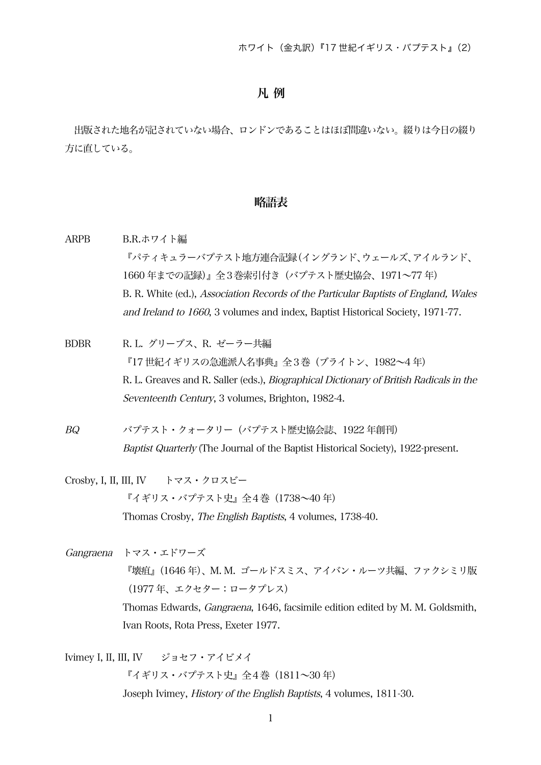## 凡 例

出版された地名が記されていない場合、ロンドンであることはほぼ間違いない。綴りは今日の綴り 方に直している。

## 略語表

| <b>ARPB</b>                      | B.R.ホワイト編                                                                                     |
|----------------------------------|-----------------------------------------------------------------------------------------------|
|                                  | 『パティキュラーバプテスト地方連合記録(イングランド、ウェールズ、アイルランド、                                                      |
|                                  | 1660年までの記録)』全3巻索引付き (バプテスト歴史協会、1971~77年)                                                      |
|                                  | B. R. White (ed.), Association Records of the Particular Baptists of England, Wales           |
|                                  | and Ireland to 1660, 3 volumes and index, Baptist Historical Society, 1971-77.                |
| <b>BDBR</b>                      | R.L. グリーブス、R. ゼーラー共編                                                                          |
|                                  | 『17世紀イギリスの急進派人名事典』全3巻(ブライトン、1982~4年)                                                          |
|                                  | R. L. Greaves and R. Saller (eds.), <i>Biographical Dictionary of British Radicals in the</i> |
|                                  | Seventeenth Century, 3 volumes, Brighton, 1982-4.                                             |
| BQ                               | バプテスト・クォータリー (バプテスト歴史協会誌、1922年創刊)                                                             |
|                                  | Baptist Quarterly (The Journal of the Baptist Historical Society), 1922-present.              |
| Crosby, I, II, III, IV トマス・クロスビー |                                                                                               |
|                                  | 『イギリス・バプテスト史』全4巻 (1738~40年)                                                                   |
|                                  | Thomas Crosby, <i>The English Baptists</i> , 4 volumes, 1738-40.                              |
| Gangraena                        | トマス・エドワーズ                                                                                     |
|                                  | 『壊疽』(1646 年)、M. M. ゴールドスミス、アイバン・ルーツ共編、ファクシミリ版                                                 |
|                                  | (1977年、エクセター:ロータプレス)                                                                          |
|                                  | Thomas Edwards, <i>Gangraena</i> , 1646, facsimile edition edited by M. M. Goldsmith,         |
|                                  | Ivan Roots, Rota Press, Exeter 1977.                                                          |
|                                  |                                                                                               |

Ivimey I, II, III, IV ジョセフ・アイビメイ

『イギリス・バプテスト史』全4巻 (1811~30年) Joseph Ivimey, History of the English Baptists, 4 volumes, 1811-30.